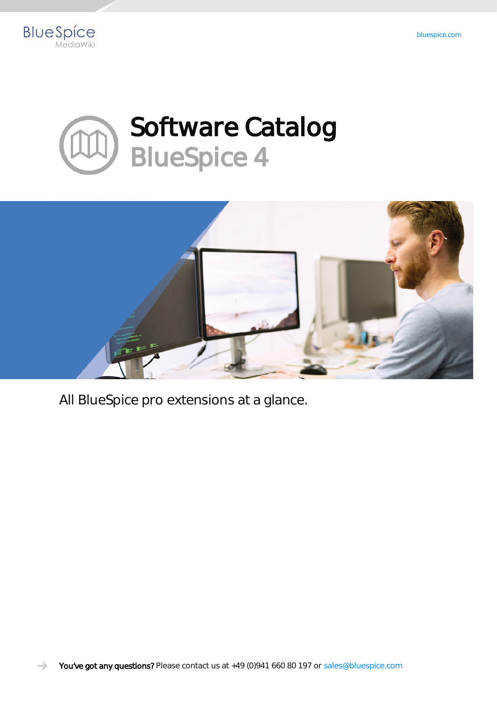





All BlueSpice pro extensions at a glance.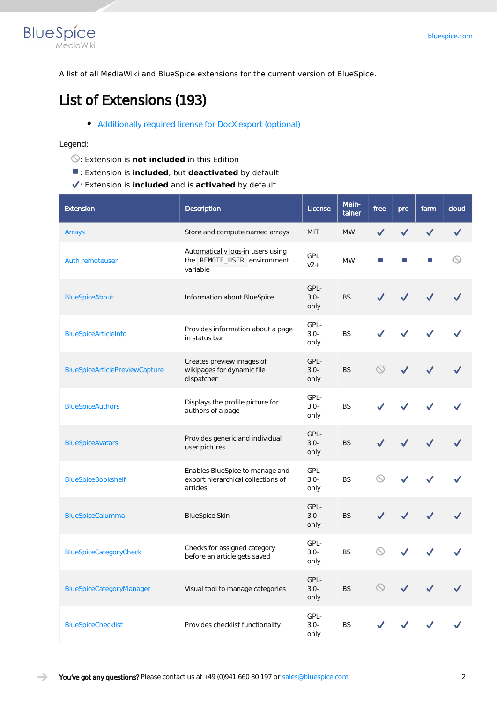

A list of all MediaWiki and BlueSpice extensions for the current version of BlueSpice.

#### **List of Extensions (193)**

[Additionally required license for DocX export \(optional\)](https://en.wiki.bluespice.com/wiki/Setup:Software_Catalogue#Additionally_required_licenses)

#### Legend:

- : Extension is **not included** in this Edition
- : Extension is **included**, but **deactivated** by default
- : Extension is **included** and is **activated** by default

| <b>Extension</b>                      | <b>Description</b>                                                                            | License                 | Main-<br>tainer | free                | pro | farm | cloud |
|---------------------------------------|-----------------------------------------------------------------------------------------------|-------------------------|-----------------|---------------------|-----|------|-------|
| Arrays                                | Store and compute named arrays                                                                | MIT                     | <b>MW</b>       |                     |     |      |       |
| <b>Auth remoteuser</b>                | Automatically logs-in users using<br>the REMOTE_USER environment<br>variable                  | GPL<br>$v2+$            | <b>MW</b>       |                     |     |      |       |
| <b>BlueSpiceAbout</b>                 | Information about BlueSpice                                                                   | GPL-<br>$3.0 -$<br>only | <b>BS</b>       |                     |     |      |       |
| BlueSpiceArticleInfo                  | Provides information about a page<br>in status bar                                            | GPL-<br>$3.0 -$<br>only | <b>BS</b>       |                     |     |      |       |
| <b>BlueSpiceArticlePreviewCapture</b> | Creates preview images of<br>wikipages for dynamic file<br>dispatcher                         | GPL-<br>$3.0 -$<br>only | <b>BS</b>       |                     |     |      |       |
| <b>BlueSpiceAuthors</b>               | GPL-<br>Displays the profile picture for<br>$3.0 -$<br><b>BS</b><br>authors of a page<br>only |                         |                 |                     |     |      |       |
| <b>BlueSpiceAvatars</b>               | Provides generic and individual<br>user pictures                                              | GPL-<br>$3.0 -$<br>only | <b>BS</b>       |                     |     |      |       |
| <b>BlueSpiceBookshelf</b>             | Enables BlueSpice to manage and<br>export hierarchical collections of<br>articles.            | GPL-<br>$3.0 -$<br>only | <b>BS</b>       |                     |     |      |       |
| BlueSpiceCalumma                      | <b>BlueSpice Skin</b>                                                                         | GPL-<br>$3.0 -$<br>only | <b>BS</b>       |                     |     |      |       |
| BlueSpiceCategoryCheck                | Checks for assigned category<br>before an article gets saved                                  | GPL-<br>$3.0 -$<br>only | <b>BS</b>       |                     |     |      |       |
| BlueSpiceCategoryManager              | Visual tool to manage categories                                                              | GPL-<br>$3.0 -$<br>only | <b>BS</b>       | $\circlearrowright$ |     |      |       |
| <b>BlueSpiceChecklist</b>             | Provides checklist functionality                                                              | GPL-<br>$3.0 -$<br>only | BS              |                     |     |      |       |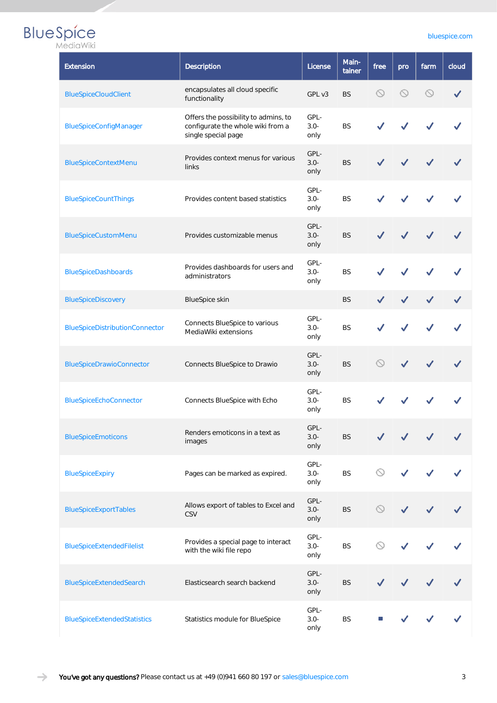| <b>Extension</b>                   | Description                                                                                      | License                 |           |                     |                | farm           | cloud |
|------------------------------------|--------------------------------------------------------------------------------------------------|-------------------------|-----------|---------------------|----------------|----------------|-------|
| <b>BlueSpiceCloudClient</b>        | encapsulates all cloud specific<br>functionality                                                 | GPL v3                  | <b>BS</b> | $\circledcirc$      | $\circledcirc$ | $\circledcirc$ |       |
| BlueSpiceConfigManager             | Offers the possibility to admins, to<br>configurate the whole wiki from a<br>single special page | GPL-<br>$3.0 -$<br>only | <b>BS</b> |                     |                |                |       |
| BlueSpiceContextMenu               | Provides context menus for various<br>links                                                      | GPL-<br>$3.0 -$<br>only | <b>BS</b> |                     |                |                |       |
| <b>BlueSpiceCountThings</b>        | GPL-<br>$3.0 -$<br>Provides content based statistics<br><b>BS</b><br>only                        |                         |           |                     |                |                |       |
| <b>BlueSpiceCustomMenu</b>         | GPL-<br>Provides customizable menus<br>$3.0 -$<br><b>BS</b><br>only                              |                         |           |                     |                |                |       |
| <b>BlueSpiceDashboards</b>         | Provides dashboards for users and<br>administrators                                              | <b>BS</b>               |           |                     |                |                |       |
| <b>BlueSpiceDiscovery</b>          | <b>BlueSpice skin</b>                                                                            | <b>BS</b>               |           |                     |                |                |       |
| BlueSpiceDistributionConnector     | GPL-<br>Connects BlueSpice to various<br><b>BS</b><br>$3.0 -$<br>MediaWiki extensions<br>only    |                         |           |                     |                |                |       |
| BlueSpiceDrawioConnector           | Connects BlueSpice to Drawio                                                                     | GPL-<br>$3.0 -$<br>only | <b>BS</b> |                     |                |                |       |
| BlueSpiceEchoConnector             | Connects BlueSpice with Echo                                                                     | GPL-<br>$3.0 -$<br>only | <b>BS</b> |                     |                |                |       |
| <b>BlueSpiceEmoticons</b>          | Renders emoticons in a text as<br>images                                                         | GPL-<br>$3.0 -$<br>only | <b>BS</b> |                     |                |                |       |
| <b>BlueSpiceExpiry</b>             | Pages can be marked as expired.                                                                  | GPL-<br>$3.0 -$<br>only | <b>BS</b> | $\odot$             |                |                |       |
| BlueSpiceExportTables              | Allows export of tables to Excel and<br>CSV                                                      | GPL-<br>$3.0 -$<br>only | <b>BS</b> | $\circlearrowright$ |                |                |       |
| BlueSpiceExtendedFilelist          | Provides a special page to interact<br>with the wiki file repo                                   | GPL-<br>$3.0 -$<br>only | <b>BS</b> | $\odot$             |                |                |       |
| BlueSpiceExtendedSearch            | Elasticsearch search backend                                                                     | GPL-<br>$3.0 -$<br>only | <b>BS</b> |                     |                |                |       |
| <b>BlueSpiceExtendedStatistics</b> | Statistics module for BlueSpice                                                                  | GPL-<br>$3.0 -$<br>only | <b>BS</b> |                     |                |                |       |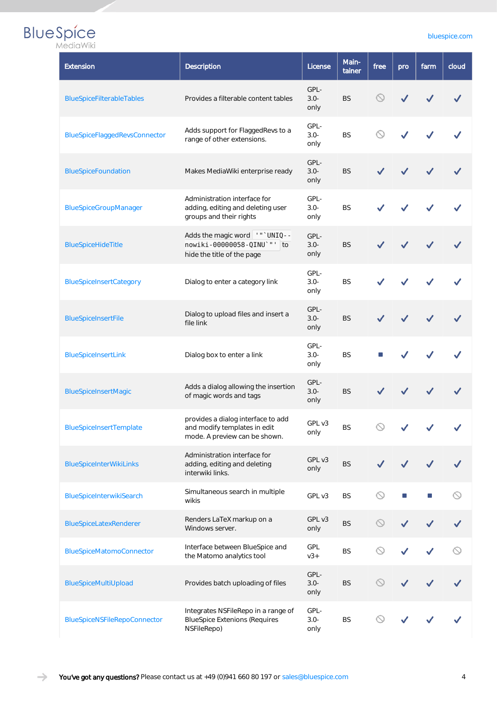| <b>Extension</b>                    | <b>Description</b>                                                                                  | License                 | Main-<br>tainer | free                  | pro | farm | cloud |
|-------------------------------------|-----------------------------------------------------------------------------------------------------|-------------------------|-----------------|-----------------------|-----|------|-------|
| BlueSpiceFilterableTables           | Provides a filterable content tables                                                                | GPL-<br>$3.0 -$<br>only | <b>BS</b>       |                       |     |      |       |
| BlueSpiceFlaggedRevsConnector       | Adds support for FlaggedRevs to a<br>range of other extensions.                                     | GPL-<br>$3.0 -$<br>only | <b>BS</b>       |                       |     |      |       |
| <b>BlueSpiceFoundation</b>          | Makes MediaWiki enterprise ready                                                                    | GPL-<br>$3.0 -$<br>only | <b>BS</b>       |                       |     |      |       |
| BlueSpiceGroupManager               | Administration interface for<br>adding, editing and deleting user<br>groups and their rights        | GPL-<br>$3.0 -$<br>only | <b>BS</b>       |                       |     |      |       |
| BlueSpiceHideTitle                  | Adds the magic word   '" ' UNIQ - -<br>nowiki-00000058-QINU`"' to<br>hide the title of the page     | GPL-<br>$3.0 -$<br>only | <b>BS</b>       |                       |     |      |       |
| <b>BlueSpiceInsertCategory</b>      | Dialog to enter a category link                                                                     | GPL-<br>$3.0 -$<br>only | <b>BS</b>       |                       |     |      |       |
| BlueSpiceInsertFile                 | Dialog to upload files and insert a<br>file link                                                    | GPL-<br>$3.0 -$<br>only | <b>BS</b>       |                       |     |      |       |
| <b>BlueSpiceInsertLink</b>          | Dialog box to enter a link                                                                          | GPL-<br>$3.0 -$<br>only | <b>BS</b>       |                       |     |      |       |
| BlueSpiceInsertMagic                | Adds a dialog allowing the insertion<br>of magic words and tags                                     | GPL-<br>$3.0 -$<br>only | <b>BS</b>       |                       |     |      |       |
| <b>BlueSpiceInsertTemplate</b>      | provides a dialog interface to add<br>and modify templates in edit<br>mode. A preview can be shown. | GPL v3<br>only          | <b>BS</b>       |                       |     |      |       |
| <b>BlueSpiceInterWikiLinks</b>      | Administration interface for<br>adding, editing and deleting<br>interwiki links.                    | GPL v3<br>only          | <b>BS</b>       |                       |     |      |       |
| BlueSpiceInterwikiSearch            | Simultaneous search in multiple<br>wikis                                                            | GPL v3                  | <b>BS</b>       | $\circlearrowright$   |     |      |       |
| BlueSpiceLatexRenderer              | Renders LaTeX markup on a<br>Windows server.                                                        | GPL v3<br>only          | <b>BS</b>       | $\circlearrowright$   |     |      |       |
| <b>BlueSpiceMatomoConnector</b>     | Interface between BlueSpice and<br>the Matomo analytics tool                                        | GPL<br>$v3+$            | <b>BS</b>       | $\circlearrowright$   |     |      |       |
| BlueSpiceMultiUpload                | Provides batch uploading of files                                                                   | GPL-<br>$3.0 -$<br>only | <b>BS</b>       | $\circlearrowright$   |     |      |       |
| <b>BlueSpiceNSFileRepoConnector</b> | Integrates NSFileRepo in a range of<br><b>BlueSpice Extenions (Requires</b><br>NSFileRepo)          | GPL-<br>$3.0 -$<br>only | <b>BS</b>       | $\scriptstyle\diagup$ |     |      |       |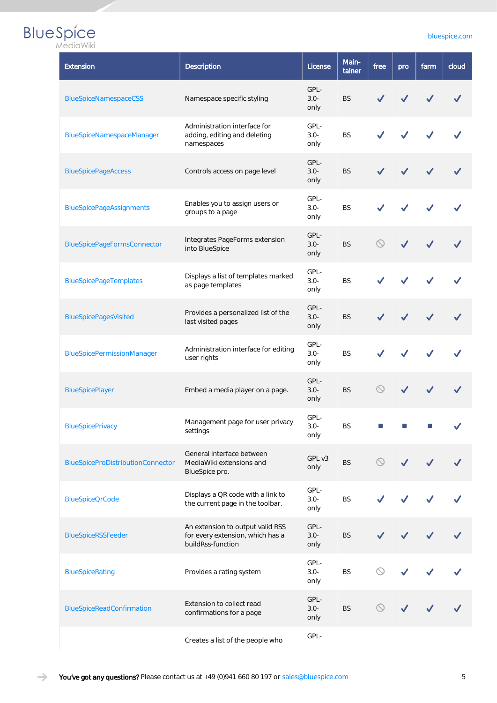| MediaWiki |  |
|-----------|--|

| Extension                                | Description                                                                                       | License                 | Main-<br>tainer | free           | pro | farm | cloud |
|------------------------------------------|---------------------------------------------------------------------------------------------------|-------------------------|-----------------|----------------|-----|------|-------|
| <b>BlueSpiceNamespaceCSS</b>             | Namespace specific styling                                                                        | GPL-<br>$3.0 -$<br>only | <b>BS</b>       |                |     |      |       |
| BlueSpiceNamespaceManager                | Administration interface for<br>adding, editing and deleting<br>namespaces                        | GPL-<br>$3.0 -$<br>only | <b>BS</b>       |                |     |      |       |
| <b>BlueSpicePageAccess</b>               | Controls access on page level                                                                     | GPL-<br>$3.0 -$<br>only | <b>BS</b>       |                |     |      |       |
| <b>BlueSpicePageAssignments</b>          | Enables you to assign users or<br>groups to a page                                                | GPL-<br>$3.0 -$<br>only | <b>BS</b>       |                |     |      |       |
| <b>BlueSpicePageFormsConnector</b>       | GPL-<br>Integrates PageForms extension<br><b>BS</b><br>$3.0 -$<br>into BlueSpice<br>only          |                         |                 |                |     |      |       |
| <b>BlueSpicePageTemplates</b>            | GPL-<br>Displays a list of templates marked<br>$3.0 -$<br><b>BS</b><br>as page templates<br>only  |                         |                 |                |     |      |       |
| <b>BlueSpicePagesVisited</b>             | GPL-<br>Provides a personalized list of the<br>$3.0 -$<br><b>BS</b><br>last visited pages<br>only |                         |                 |                |     |      |       |
| <b>BlueSpicePermissionManager</b>        | GPL-<br>Administration interface for editing<br><b>BS</b><br>$3.0 -$<br>user rights<br>only       |                         |                 |                |     |      |       |
| <b>BlueSpicePlayer</b>                   | Embed a media player on a page.                                                                   | GPL-<br>$3.0 -$<br>only | <b>BS</b>       |                |     |      |       |
| <b>BlueSpicePrivacy</b>                  | Management page for user privacy<br>settings                                                      | GPL-<br>$3.0 -$<br>only | <b>BS</b>       |                |     |      |       |
| <b>BlueSpiceProDistributionConnector</b> | General interface between<br>MediaWiki extensions and<br>BlueSpice pro.                           | GPL v3<br>only          | <b>BS</b>       | $\circledcirc$ |     |      |       |
| <b>BlueSpiceQrCode</b>                   | Displays a QR code with a link to<br>the current page in the toolbar.                             | GPL-<br>$3.0 -$<br>only | <b>BS</b>       |                |     |      |       |
| <b>BlueSpiceRSSFeeder</b>                | An extension to output valid RSS<br>for every extension, which has a<br>buildRss-function         | GPL-<br>$3.0 -$<br>only | <b>BS</b>       |                |     |      |       |
| <b>BlueSpiceRating</b>                   | GPL-<br>$\odot$<br>$3.0 -$<br><b>BS</b><br>Provides a rating system<br>only                       |                         |                 |                |     |      |       |
| BlueSpiceReadConfirmation                | Extension to collect read<br>confirmations for a page                                             | GPL-<br>$3.0 -$<br>only | <b>BS</b>       | ◯              |     |      |       |
|                                          | Creates a list of the people who                                                                  | GPL-                    |                 |                |     |      |       |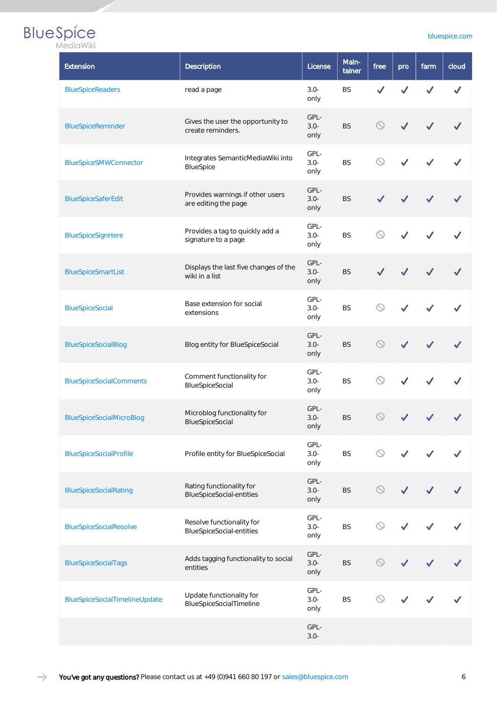### **BlueSpice**

| MediaWiki                       |                                                              |                         |                 |                     |     |      |       |
|---------------------------------|--------------------------------------------------------------|-------------------------|-----------------|---------------------|-----|------|-------|
| Extension                       | Description                                                  | License                 | Main-<br>tainer | free                | pro | farm | clouc |
| <b>BlueSpiceReaders</b>         | read a page                                                  | $3.0 -$<br>only         | <b>BS</b>       |                     |     |      |       |
| BlueSpiceReminder               | Gives the user the opportunity to<br>create reminders.       | GPL-<br>$3.0 -$<br>only | <b>BS</b>       | $\circledcirc$      |     |      | ✓     |
| BlueSpiceSMWConnector           | Integrates SemanticMediaWiki into<br>BlueSpice               | GPL-<br>$3.0 -$<br>only | BS              | ↷                   |     |      |       |
| BlueSpiceSaferEdit              | Provides warnings if other users<br>are editing the page     | GPL-<br>$3.0 -$<br>only | <b>BS</b>       |                     |     |      |       |
| BlueSpiceSignHere               | Provides a tag to quickly add a<br>signature to a page       | GPL-<br>$3.0 -$<br>only | <b>BS</b>       |                     |     |      |       |
| <b>BlueSpiceSmartList</b>       | Displays the last five changes of the<br>wiki in a list      | GPL-<br>$3.0 -$<br>only | <b>BS</b>       |                     |     |      |       |
| <b>BlueSpiceSocial</b>          | Base extension for social<br>extensions                      | GPL-<br>$3.0 -$<br>only | <b>BS</b>       | $\circlearrowright$ |     |      |       |
| <b>BlueSpiceSocialBlog</b>      | Blog entity for BlueSpiceSocial                              | GPL-<br>$3.0 -$<br>only | <b>BS</b>       | $\circledcirc$      |     |      |       |
| <b>BlueSpiceSocialComments</b>  | Comment functionality for<br>BlueSpiceSocial                 | GPL-<br>$3.0 -$<br>only | <b>BS</b>       |                     |     |      |       |
| <b>BlueSpiceSocialMicroBlog</b> | Microblog functionality for<br>BlueSpiceSocial               | GPL-<br>$3.0 -$<br>only | <b>BS</b>       |                     |     |      |       |
| <b>BlueSpiceSocialProfile</b>   | Profile entity for BlueSpiceSocial                           | GPL-<br>$3.0 -$<br>only | <b>BS</b>       | $\circledcirc$      |     |      |       |
| <b>BlueSpiceSocialRating</b>    | Rating functionality for<br><b>BlueSpiceSocial-entities</b>  | GPL-<br>$3.0 -$<br>only | <b>BS</b>       | $\circledcirc$      |     |      |       |
| <b>BlueSpiceSocialResolve</b>   | Resolve functionality for<br><b>BlueSpiceSocial-entities</b> | GPL-<br>$3.0 -$<br>only | <b>BS</b>       | $\odot$             |     |      |       |
| <b>BlueSpiceSocialTags</b>      | Adds tagging functionality to social<br>entities             | GPL-<br>$3.0 -$<br>only | <b>BS</b>       | $\circledcirc$      |     |      |       |
| BlueSpiceSocialTimelineUpdate   | Update functionality for<br>BlueSpiceSocialTimeline          | GPL-<br>$3.0 -$<br>only | BS              | $\oslash$           |     |      |       |
|                                 |                                                              | GPL-                    |                 |                     |     |      |       |

3.0-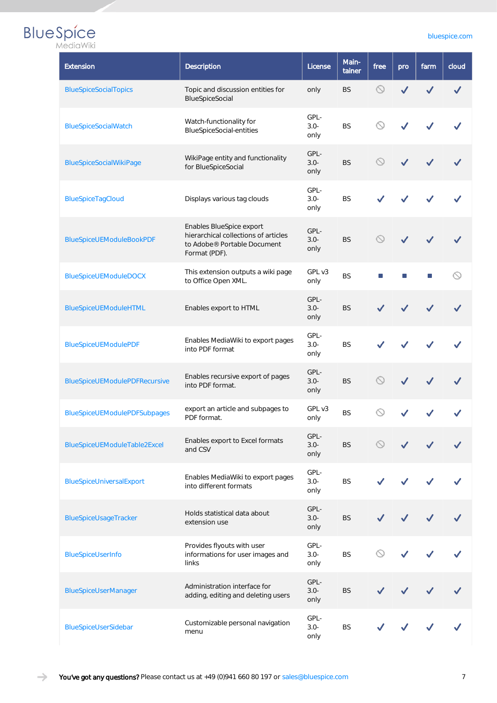| Extension                            | <b>Description</b>                                                                                               | Main-<br>tainer         | free      | pro            | farm | cloud |  |
|--------------------------------------|------------------------------------------------------------------------------------------------------------------|-------------------------|-----------|----------------|------|-------|--|
| <b>BlueSpiceSocialTopics</b>         | Topic and discussion entities for<br>BlueSpiceSocial                                                             | only                    | <b>BS</b> | $\circledcirc$ |      |       |  |
| <b>BlueSpiceSocialWatch</b>          | Watch-functionality for<br><b>BlueSpiceSocial-entities</b>                                                       | GPL-<br>$3.0 -$<br>only | <b>BS</b> |                |      |       |  |
| <b>BlueSpiceSocialWikiPage</b>       | WikiPage entity and functionality<br>for BlueSpiceSocial                                                         | GPL-<br>$3.0 -$<br>only | <b>BS</b> |                |      |       |  |
| BlueSpiceTagCloud                    | GPL-<br>$3.0 -$<br><b>BS</b><br>Displays various tag clouds<br>only                                              |                         |           |                |      |       |  |
| <b>BlueSpiceUEModuleBookPDF</b>      | Enables BlueSpice export<br>hierarchical collections of articles<br>to Adobe® Portable Document<br>Format (PDF). | <b>BS</b>               |           |                |      |       |  |
| <b>BlueSpiceUEModuleDOCX</b>         | This extension outputs a wiki page<br>to Office Open XML.                                                        | GPL v3<br>only          | <b>BS</b> |                |      |       |  |
| BlueSpiceUEModuleHTML                | GPL-<br>Enables export to HTML<br>$3.0 -$<br><b>BS</b><br>only                                                   |                         |           |                |      |       |  |
| <b>BlueSpiceUEModulePDF</b>          | GPL-<br>Enables MediaWiki to export pages<br>$3.0 -$<br><b>BS</b><br>into PDF format<br>only                     |                         |           |                |      |       |  |
| <b>BlueSpiceUEModulePDFRecursive</b> | Enables recursive export of pages<br>into PDF format.                                                            | GPL-<br>$3.0 -$<br>only | <b>BS</b> |                |      |       |  |
| <b>BlueSpiceUEModulePDFSubpages</b>  | export an article and subpages to<br>PDF format.                                                                 | GPL v3<br>only          | <b>BS</b> |                |      |       |  |
| BlueSpiceUEModuleTable2Excel         | Enables export to Excel formats<br>and CSV                                                                       | GPL-<br>$3.0 -$<br>only | <b>BS</b> |                |      |       |  |
| BlueSpiceUniversalExport             | Enables MediaWiki to export pages<br>into different formats                                                      | GPL-<br>$3.0 -$<br>only | <b>BS</b> |                |      |       |  |
| BlueSpiceUsageTracker                | Holds statistical data about<br>extension use                                                                    | GPL-<br>$3.0 -$<br>only | <b>BS</b> |                |      |       |  |
| BlueSpiceUserInfo                    | Provides flyouts with user<br>informations for user images and<br>links                                          | GPL-<br>$3.0 -$<br>only | <b>BS</b> |                |      |       |  |
| <b>BlueSpiceUserManager</b>          | GPL-<br>Administration interface for<br>$3.0 -$<br><b>BS</b><br>adding, editing and deleting users<br>only       |                         |           |                |      |       |  |
| BlueSpiceUserSidebar                 | Customizable personal navigation<br>menu                                                                         | GPL-<br>$3.0 -$<br>only | <b>BS</b> |                |      |       |  |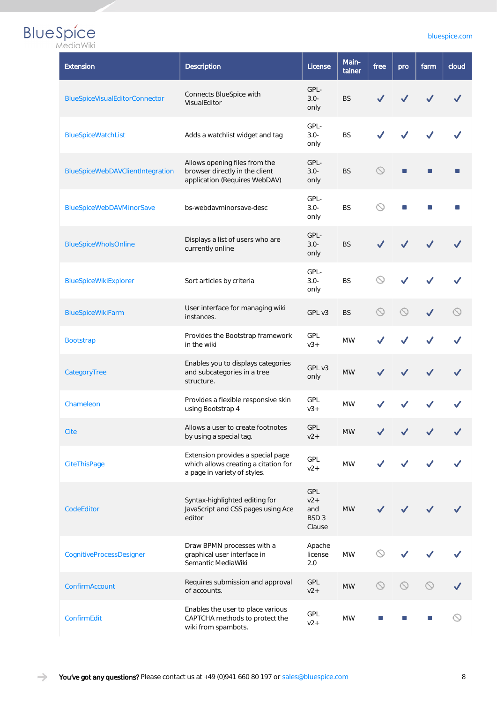| <i><b>IVITULI</b></i><br>Extension | <b>Description</b>                                                                                        | License                                           | Main-<br>tainer | free           | pro            | farm | cloud |
|------------------------------------|-----------------------------------------------------------------------------------------------------------|---------------------------------------------------|-----------------|----------------|----------------|------|-------|
| BlueSpiceVisualEditorConnector     | Connects BlueSpice with<br>VisualEditor                                                                   | GPL-<br>$3.0 -$<br>only                           | <b>BS</b>       |                |                |      |       |
| <b>BlueSpiceWatchList</b>          | Adds a watchlist widget and tag                                                                           | GPL-<br>$3.0 -$<br>only                           | <b>BS</b>       |                |                |      |       |
| BlueSpiceWebDAVClientIntegration   | Allows opening files from the<br>browser directly in the client<br>application (Requires WebDAV)          | GPL-<br>$3.0 -$<br>only                           | <b>BS</b>       | $\circledcirc$ | $\blacksquare$ |      |       |
| BlueSpiceWebDAVMinorSave           | bs-webdayminorsave-desc                                                                                   | GPL-<br>$3.0 -$<br>only                           | <b>BS</b>       | ல              |                |      |       |
| <b>BlueSpiceWholsOnline</b>        | Displays a list of users who are<br>currently online                                                      | GPL-<br>$3.0 -$<br><b>BS</b><br>only              |                 |                |                |      |       |
| BlueSpiceWikiExplorer              | Sort articles by criteria                                                                                 | <b>BS</b>                                         |                 |                |                |      |       |
| BlueSpiceWikiFarm                  | User interface for managing wiki<br>⇖<br>GPL v3<br><b>BS</b><br>instances.                                |                                                   |                 |                |                |      |       |
| <b>Bootstrap</b>                   | Provides the Bootstrap framework<br>GPL<br><b>MW</b><br>in the wiki<br>$V3+$                              |                                                   |                 |                |                |      |       |
| CategoryTree                       | Enables you to displays categories<br>and subcategories in a tree<br>structure.                           | GPL v3<br>only                                    | <b>MW</b>       |                |                |      |       |
| Chameleon                          | Provides a flexible responsive skin<br>using Bootstrap 4                                                  | GPL<br>$V3+$                                      | <b>MW</b>       |                |                |      |       |
| Cite                               | Allows a user to create footnotes<br>by using a special tag.                                              | GPL<br>$v2+$                                      | <b>MW</b>       |                |                |      |       |
| CiteThisPage                       | Extension provides a special page<br>which allows creating a citation for<br>a page in variety of styles. | GPL<br>$v2+$                                      | <b>MW</b>       |                |                |      |       |
| CodeEditor                         | Syntax-highlighted editing for<br>JavaScript and CSS pages using Ace<br>editor                            | GPL<br>$v2+$<br>and<br>BSD <sub>3</sub><br>Clause | <b>MW</b>       |                |                |      |       |
| CognitiveProcessDesigner           | Draw BPMN processes with a<br>graphical user interface in<br>Semantic MediaWiki                           | Apache<br>license<br>2.0                          | <b>MW</b>       | K              |                |      |       |
| ConfirmAccount                     | Requires submission and approval<br>of accounts.                                                          | GPL<br>$v2+$                                      | <b>MW</b>       | $\circledcirc$ |                |      |       |
| ConfirmEdit                        | Enables the user to place various<br>CAPTCHA methods to protect the<br>wiki from spambots.                | GPL<br>$v2+$                                      | <b>MW</b>       |                |                |      |       |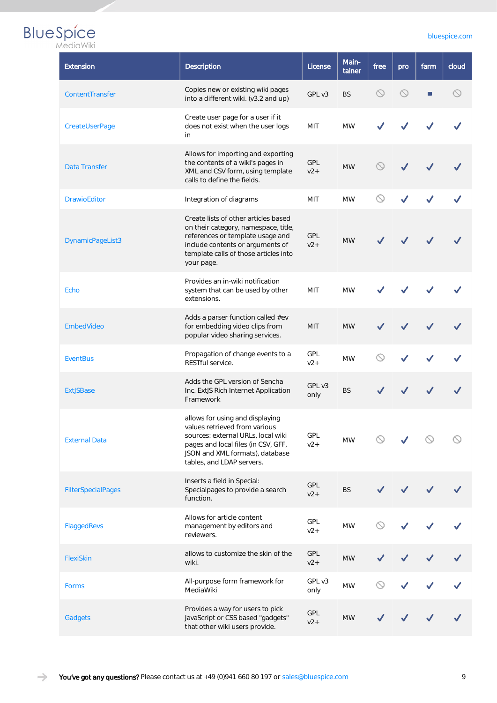#### [bluespice.com](https://bluespice.com)

| <b>Extension</b>          | <b>Description</b>                                                                                                                                                                                            | License             | Main-<br>tainer | free                         | pro                 | farm | cloud     |
|---------------------------|---------------------------------------------------------------------------------------------------------------------------------------------------------------------------------------------------------------|---------------------|-----------------|------------------------------|---------------------|------|-----------|
| ContentTransfer           | Copies new or existing wiki pages<br>into a different wiki. (v3.2 and up)                                                                                                                                     | GPL v3              | <b>BS</b>       | $\circledcirc$               | $\circlearrowright$ | П    | $\oslash$ |
| CreateUserPage            | Create user page for a user if it<br>does not exist when the user logs<br>in                                                                                                                                  | MIT                 | <b>MW</b>       |                              |                     |      |           |
| <b>Data Transfer</b>      | Allows for importing and exporting<br>the contents of a wiki's pages in<br>XML and CSV form, using template<br>calls to define the fields.                                                                    | GPL<br>$v2+$        | <b>MW</b>       |                              |                     |      |           |
| <b>DrawioEditor</b>       | Integration of diagrams                                                                                                                                                                                       | MIT                 | <b>MW</b>       |                              |                     |      |           |
| DynamicPageList3          | Create lists of other articles based<br>on their category, namespace, title,<br>references or template usage and<br>include contents or arguments of<br>template calls of those articles into<br>your page.   | <b>GPL</b><br>$v2+$ | <b>MW</b>       |                              |                     |      |           |
| Echo                      | Provides an in-wiki notification<br>system that can be used by other<br>extensions.                                                                                                                           | MIT                 | <b>MW</b>       |                              |                     |      |           |
| EmbedVideo                | Adds a parser function called #ev<br>for embedding video clips from<br>popular video sharing services.                                                                                                        | MIT                 | <b>MW</b>       |                              |                     |      |           |
| <b>EventBus</b>           | Propagation of change events to a<br>RESTful service.                                                                                                                                                         | GPL<br>$v2+$        | <b>MW</b>       |                              |                     |      |           |
| <b>ExtJSBase</b>          | Adds the GPL version of Sencha<br>Inc. ExtJS Rich Internet Application<br>Framework                                                                                                                           | GPL v3<br>only      | <b>BS</b>       |                              |                     |      |           |
| <b>External Data</b>      | allows for using and displaying<br>values retrieved from various<br>sources: external URLs, local wiki<br>pages and local files (in CSV, GFF,<br>JSON and XML formats), database<br>tables, and LDAP servers. | GPL<br>$v2+$        | <b>MW</b>       |                              |                     |      |           |
| <b>FilterSpecialPages</b> | Inserts a field in Special:<br>Specialpages to provide a search<br>function.                                                                                                                                  | GPL<br>$v2+$        | <b>BS</b>       |                              |                     |      |           |
| FlaggedRevs               | Allows for article content<br>management by editors and<br>reviewers.                                                                                                                                         | GPL<br>$v2+$        | <b>MW</b>       | $\circlearrowright$          |                     |      |           |
| FlexiSkin                 | allows to customize the skin of the<br>wiki.                                                                                                                                                                  | <b>GPL</b><br>$v2+$ | <b>MW</b>       |                              |                     |      |           |
| Forms                     | All-purpose form framework for<br>MediaWiki                                                                                                                                                                   | GPL v3<br>only      | <b>MW</b>       | $\mathrel{\curvearrowright}$ |                     |      |           |
| Gadgets                   | Provides a way for users to pick<br>JavaScript or CSS based "gadgets"<br>that other wiki users provide.                                                                                                       | GPL<br>$v2+$        | <b>MW</b>       |                              |                     |      |           |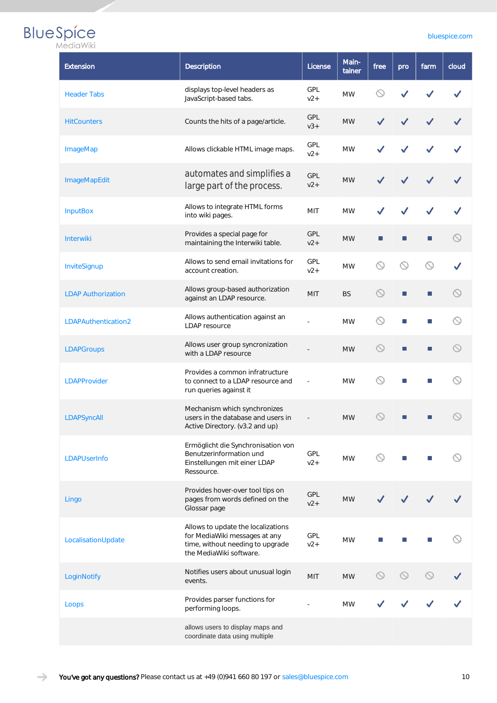| <i><b>IVITULI</b></i><br><b>Extension</b> | Description                                                                                                                        | Main-<br>License<br>tainer  |                             | free                | pro | farm | cloud       |
|-------------------------------------------|------------------------------------------------------------------------------------------------------------------------------------|-----------------------------|-----------------------------|---------------------|-----|------|-------------|
| <b>Header Tabs</b>                        | displays top-level headers as<br>JavaScript-based tabs.                                                                            | GPL<br>$v2+$                | <b>MW</b>                   | $\circlearrowright$ |     |      |             |
| <b>HitCounters</b>                        | Counts the hits of a page/article.                                                                                                 | <b>GPL</b><br>$V3+$         | <b>MW</b>                   |                     |     |      |             |
| <b>ImageMap</b>                           | GPL<br>Allows clickable HTML image maps.<br><b>MW</b><br>$v2+$                                                                     |                             |                             |                     |     |      |             |
| <b>ImageMapEdit</b>                       | automates and simplifies a<br>large part of the process.                                                                           |                             |                             |                     |     |      |             |
| <b>InputBox</b>                           | Allows to integrate HTML forms<br>into wiki pages.                                                                                 |                             |                             |                     |     |      |             |
| <b>Interwiki</b>                          | Provides a special page for<br><b>GPL</b><br><b>MW</b><br>■<br>maintaining the Interwiki table.<br>$V2+$                           |                             |                             |                     |     | П    |             |
| InviteSignup                              | Allows to send email invitations for<br><b>GPL</b><br>ல<br><b>MW</b><br>account creation.<br>$v2+$                                 |                             |                             |                     |     |      |             |
| <b>LDAP Authorization</b>                 | Allows group-based authorization<br>against an LDAP resource.                                                                      | $\blacksquare$              | $\mathcal{L}_{\mathcal{A}}$ |                     |     |      |             |
| LDAPAuthentication2                       | Allows authentication against an<br>$\circlearrowright$<br><b>MW</b><br><b>LDAP</b> resource                                       |                             |                             |                     |     | U,   |             |
| <b>LDAPGroups</b>                         | Allows user group syncronization<br>with a LDAP resource                                                                           | $\circledcirc$<br><b>MW</b> |                             |                     |     |      | $\bigcirc$  |
| <b>LDAPProvider</b>                       | Provides a common infratructure<br>to connect to a LDAP resource and<br>run queries against it                                     |                             | <b>MW</b>                   | $\odot$             | П   | П    |             |
| LDAPSyncAll                               | Mechanism which synchronizes<br>users in the database and users in<br>Active Directory. (v3.2 and up)                              |                             | <b>MW</b>                   | $\circledcirc$      | П   | П    | $\mathbb S$ |
| <b>LDAPUserInfo</b>                       | Ermöglicht die Synchronisation von<br>Benutzerinformation und<br>Einstellungen mit einer LDAP<br>Ressource.                        | <b>GPL</b><br>$v2+$         | <b>MW</b>                   | $\circlearrowright$ |     |      |             |
| Lingo                                     | Provides hover-over tool tips on<br>pages from words defined on the<br>Glossar page                                                | GPL<br>$v2+$                | <b>MW</b>                   |                     |     |      |             |
| LocalisationUpdate                        | Allows to update the localizations<br>for MediaWiki messages at any<br>time, without needing to upgrade<br>the MediaWiki software. | <b>GPL</b><br>$v2+$         | <b>MW</b>                   |                     |     |      |             |
| LoginNotify                               | Notifies users about unusual login<br>events.                                                                                      | MIT                         | <b>MW</b>                   | $\odot$             |     |      |             |
| Loops                                     | Provides parser functions for<br>performing loops.                                                                                 |                             | <b>MW</b>                   |                     |     |      |             |
|                                           | allows users to display maps and<br>coordinate data using multiple                                                                 |                             |                             |                     |     |      |             |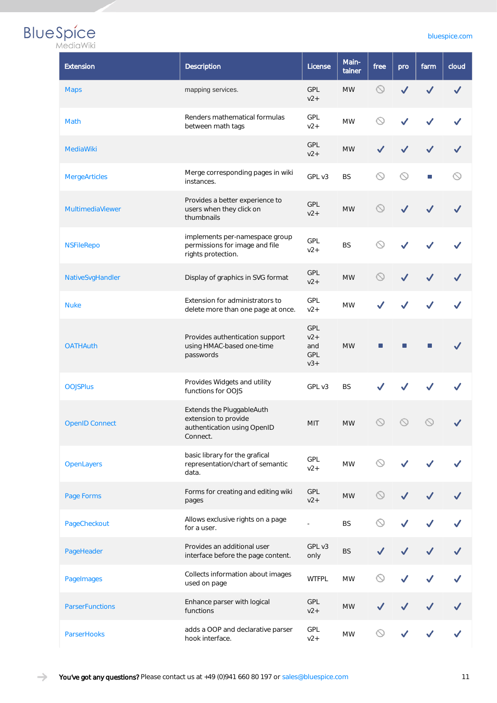| <b>Extension</b>       | Description                                                                                  | License             | Main-<br>tainer | free                | pro                 | farm                | cloud |
|------------------------|----------------------------------------------------------------------------------------------|---------------------|-----------------|---------------------|---------------------|---------------------|-------|
| <b>Maps</b>            | mapping services.                                                                            | <b>GPL</b><br>$v2+$ | <b>MW</b>       | $\circledcirc$      |                     |                     |       |
| Math                   | Renders mathematical formulas<br>between math tags                                           | <b>GPL</b><br>$v2+$ | <b>MW</b>       | $\circlearrowright$ |                     |                     |       |
| <b>MediaWiki</b>       |                                                                                              | <b>GPL</b><br>$v2+$ | <b>MW</b>       |                     |                     |                     |       |
| <b>MergeArticles</b>   | Merge corresponding pages in wiki<br>instances.                                              | GPL v3              | <b>BS</b>       | $\circlearrowright$ | $\circlearrowright$ | $\Box$              |       |
| MultimediaViewer       | Provides a better experience to<br>users when they click on<br>thumbnails                    | GPL<br>$v2+$        | <b>MW</b>       | $\circlearrowright$ | ✓                   |                     |       |
| <b>NSFileRepo</b>      | implements per-namespace group<br>permissions for image and file<br>rights protection.       | GPL<br>$v2+$        | <b>BS</b>       | $\circlearrowright$ |                     |                     |       |
| NativeSvgHandler       | Display of graphics in SVG format                                                            | <b>GPL</b><br>$v2+$ | <b>MW</b>       | $\circledcirc$      | ✓                   |                     |       |
| <b>Nuke</b>            | Extension for administrators to<br>delete more than one page at once.                        | GPL<br>$v2+$        | <b>MW</b>       |                     |                     |                     |       |
| <b>OATHAuth</b>        | Provides authentication support<br>using HMAC-based one-time<br>passwords                    |                     | п               |                     |                     |                     |       |
| <b>OOJSPlus</b>        | Provides Widgets and utility<br>functions for OOJS                                           | GPL v3              | <b>BS</b>       |                     |                     |                     |       |
| <b>OpenID Connect</b>  | Extends the PluggableAuth<br>extension to provide<br>authentication using OpenID<br>Connect. | MIT                 | $\textsf{MW}{}$ | $\circledcirc$      | $\circledcirc$      | $\circlearrowright$ |       |
| <b>OpenLayers</b>      | basic library for the grafical<br>representation/chart of semantic<br>data.                  | GPL<br>$v2+$        | <b>MW</b>       | ര                   |                     |                     |       |
| Page Forms             | Forms for creating and editing wiki<br>pages                                                 | GPL<br>$v2+$        | <b>MW</b>       | $\circlearrowright$ |                     |                     |       |
| PageCheckout           | Allows exclusive rights on a page<br>for a user.                                             | $\overline{a}$      | <b>BS</b>       | ര                   |                     |                     |       |
| PageHeader             | Provides an additional user<br>interface before the page content.                            | GPL v3<br>only      | <b>BS</b>       |                     |                     |                     |       |
| PageImages             | Collects information about images<br>used on page                                            | <b>MW</b>           |                 |                     |                     |                     |       |
| <b>ParserFunctions</b> | Enhance parser with logical<br>functions                                                     | <b>GPL</b><br>$v2+$ | $\textsf{MW}{}$ |                     |                     |                     |       |
| ParserHooks            | adds a OOP and declarative parser<br>hook interface.                                         | GPL<br>$v2+$        | <b>MW</b>       |                     |                     |                     |       |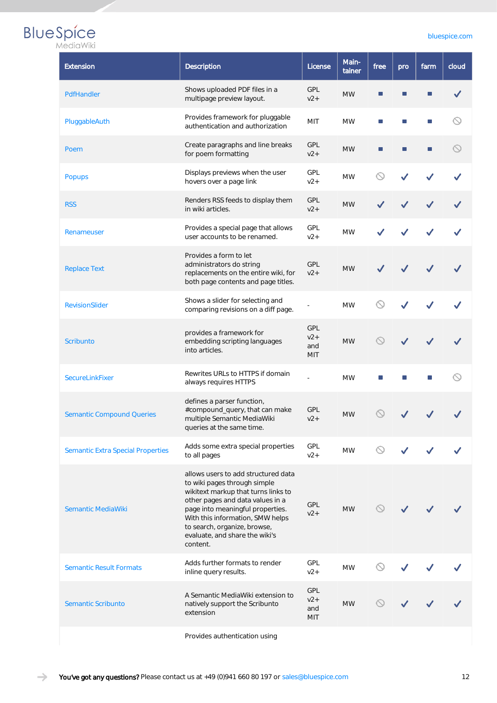#### [bluespice.com](https://bluespice.com)

| MediaWiki |  |  |  |  |
|-----------|--|--|--|--|
|           |  |  |  |  |

| Extension                                | Description                                                                                                                                                                                                                                                                                          | License                                  | Main-<br>tainer | free                | pro | farm | cloud |
|------------------------------------------|------------------------------------------------------------------------------------------------------------------------------------------------------------------------------------------------------------------------------------------------------------------------------------------------------|------------------------------------------|-----------------|---------------------|-----|------|-------|
| PdfHandler                               | Shows uploaded PDF files in a<br>multipage preview layout.                                                                                                                                                                                                                                           | GPL<br>$v2+$                             | <b>MW</b>       |                     |     |      |       |
| PluggableAuth                            | Provides framework for pluggable<br>authentication and authorization                                                                                                                                                                                                                                 | MIT                                      | <b>MW</b>       | п                   | П   |      |       |
| Poem                                     | Create paragraphs and line breaks<br>for poem formatting                                                                                                                                                                                                                                             | <b>GPL</b><br>$v2+$                      | <b>MW</b>       | ш                   | п   | П    |       |
| <b>Popups</b>                            | Displays previews when the user<br>hovers over a page link                                                                                                                                                                                                                                           | <b>GPL</b><br>$v2+$                      | <b>MW</b>       |                     |     |      |       |
| <b>RSS</b>                               | Renders RSS feeds to display them<br>in wiki articles.                                                                                                                                                                                                                                               | <b>GPL</b><br>$v2+$                      | <b>MW</b>       |                     |     |      |       |
| Renameuser                               | Provides a special page that allows<br>user accounts to be renamed.                                                                                                                                                                                                                                  | GPL<br>$v2+$                             | <b>MW</b>       |                     |     |      |       |
| <b>Replace Text</b>                      | Provides a form to let<br>administrators do string<br>replacements on the entire wiki, for<br>both page contents and page titles.                                                                                                                                                                    | <b>GPL</b><br>$v2+$                      | <b>MW</b>       |                     |     |      |       |
| <b>RevisionSlider</b>                    | Shows a slider for selecting and<br>comparing revisions on a diff page.                                                                                                                                                                                                                              |                                          | <b>MW</b>       |                     |     |      |       |
| <b>Scribunto</b>                         | provides a framework for<br>embedding scripting languages<br>into articles.                                                                                                                                                                                                                          | <b>GPL</b><br>$v2+$<br>and<br><b>MIT</b> | <b>MW</b>       |                     |     |      |       |
| SecureLinkFixer                          | Rewrites URLs to HTTPS if domain<br>always requires HTTPS                                                                                                                                                                                                                                            |                                          | <b>MW</b>       |                     |     |      |       |
| <b>Semantic Compound Queries</b>         | defines a parser function,<br>#compound_query, that can make<br>multiple Semantic MediaWiki<br>queries at the same time.                                                                                                                                                                             | <b>GPL</b><br>$v2+$                      | <b>MW</b>       |                     |     |      |       |
| <b>Semantic Extra Special Properties</b> | Adds some extra special properties<br>to all pages                                                                                                                                                                                                                                                   | <b>GPL</b><br>$v2+$                      | <b>MW</b>       |                     |     |      |       |
| Semantic MediaWiki                       | allows users to add structured data<br>to wiki pages through simple<br>wikitext markup that turns links to<br>other pages and data values in a<br>page into meaningful properties.<br>With this information, SMW helps<br>to search, organize, browse,<br>evaluate, and share the wiki's<br>content. | <b>GPL</b><br>$v2+$                      | <b>MW</b>       | $\circlearrowright$ |     |      |       |
| <b>Semantic Result Formats</b>           | Adds further formats to render<br>inline query results.                                                                                                                                                                                                                                              | GPL<br>$v2+$                             | <b>MW</b>       | $\odot$             |     |      |       |
| Semantic Scribunto                       | A Semantic MediaWiki extension to<br>natively support the Scribunto<br>extension                                                                                                                                                                                                                     | <b>GPL</b><br>$v2+$<br>and<br><b>MIT</b> | <b>MW</b>       |                     |     |      |       |
|                                          | Provides authentication using                                                                                                                                                                                                                                                                        |                                          |                 |                     |     |      |       |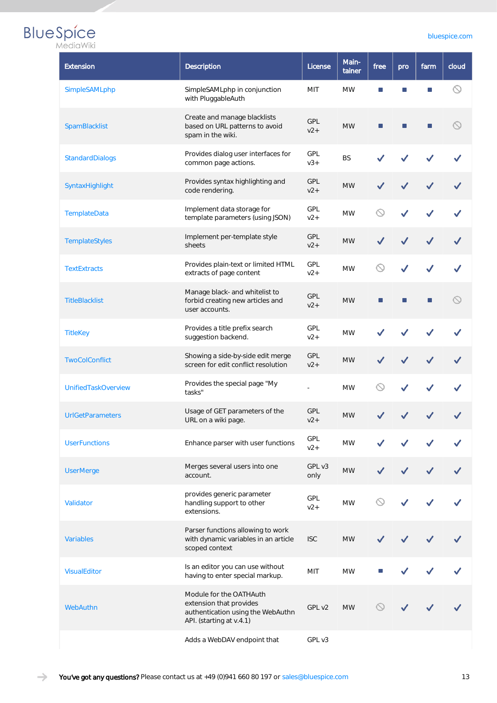#### [bluespice.com](https://bluespice.com)

| MediaWiki |  |  |  |  |  |
|-----------|--|--|--|--|--|
|           |  |  |  |  |  |

| <b>Extension</b>           | Description                                                                                                         | License             | Main-<br>tainer | free | pro | farm | cloud               |
|----------------------------|---------------------------------------------------------------------------------------------------------------------|---------------------|-----------------|------|-----|------|---------------------|
| SimpleSAMLphp              | SimpleSAMLphp in conjunction<br>with PluggableAuth                                                                  | <b>MIT</b>          | <b>MW</b>       |      |     |      | $\circlearrowright$ |
| SpamBlacklist              | Create and manage blacklists<br>based on URL patterns to avoid<br>spam in the wiki.                                 | <b>GPL</b><br>$v2+$ | <b>MW</b>       | П    | п   | ш    |                     |
| StandardDialogs            | Provides dialog user interfaces for<br>common page actions.                                                         | GPL<br>$V3+$        | <b>BS</b>       |      |     |      |                     |
| SyntaxHighlight            | Provides syntax highlighting and<br>code rendering.                                                                 | GPL<br>$v2+$        | <b>MW</b>       |      |     |      |                     |
| TemplateData               | Implement data storage for<br>template parameters (using JSON)                                                      | <b>GPL</b><br>$v2+$ | <b>MW</b>       | ◯    |     |      |                     |
| TemplateStyles             | Implement per-template style<br>sheets                                                                              | <b>GPL</b><br>$v2+$ | <b>MW</b>       |      |     |      |                     |
| <b>TextExtracts</b>        | Provides plain-text or limited HTML<br>extracts of page content                                                     | <b>GPL</b><br>$v2+$ | <b>MW</b>       | ல    | ✓   |      |                     |
| <b>TitleBlacklist</b>      | Manage black- and whitelist to<br>forbid creating new articles and<br>user accounts.                                | <b>GPL</b><br>$v2+$ | <b>MW</b>       |      | п   | п    |                     |
| <b>TitleKey</b>            | Provides a title prefix search<br>suggestion backend.                                                               | GPL<br>$v2+$        | <b>MW</b>       |      |     |      |                     |
| <b>TwoColConflict</b>      | Showing a side-by-side edit merge<br>screen for edit conflict resolution                                            | <b>GPL</b><br>$v2+$ | <b>MW</b>       |      |     |      |                     |
| <b>UnifiedTaskOverview</b> | Provides the special page "My<br>tasks"                                                                             |                     | <b>MW</b>       |      |     |      |                     |
| <b>UrlGetParameters</b>    | Usage of GET parameters of the<br>URL on a wiki page.                                                               | <b>GPL</b><br>$v2+$ | <b>MW</b>       |      |     |      |                     |
| <b>UserFunctions</b>       | Enhance parser with user functions                                                                                  | <b>GPL</b><br>$v2+$ | <b>MW</b>       |      |     |      |                     |
| <b>UserMerge</b>           | Merges several users into one<br>account.                                                                           | GPL v3<br>only      | <b>MW</b>       |      |     |      |                     |
| Validator                  | provides generic parameter<br>handling support to other<br>extensions.                                              | GPL<br>$v2+$        | <b>MW</b>       |      |     |      |                     |
| <b>Variables</b>           | Parser functions allowing to work<br>with dynamic variables in an article<br>scoped context                         | <b>ISC</b>          | <b>MW</b>       |      |     |      |                     |
| <b>VisualEditor</b>        | Is an editor you can use without<br>having to enter special markup.                                                 | <b>MIT</b>          | <b>MW</b>       |      |     |      |                     |
| WebAuthn                   | Module for the OATHAuth<br>extension that provides<br>authentication using the WebAuthn<br>API. (starting at v.4.1) | GPL v2              | <b>MW</b>       |      |     |      |                     |
|                            | Adds a WebDAV endpoint that                                                                                         | GPL v3              |                 |      |     |      |                     |